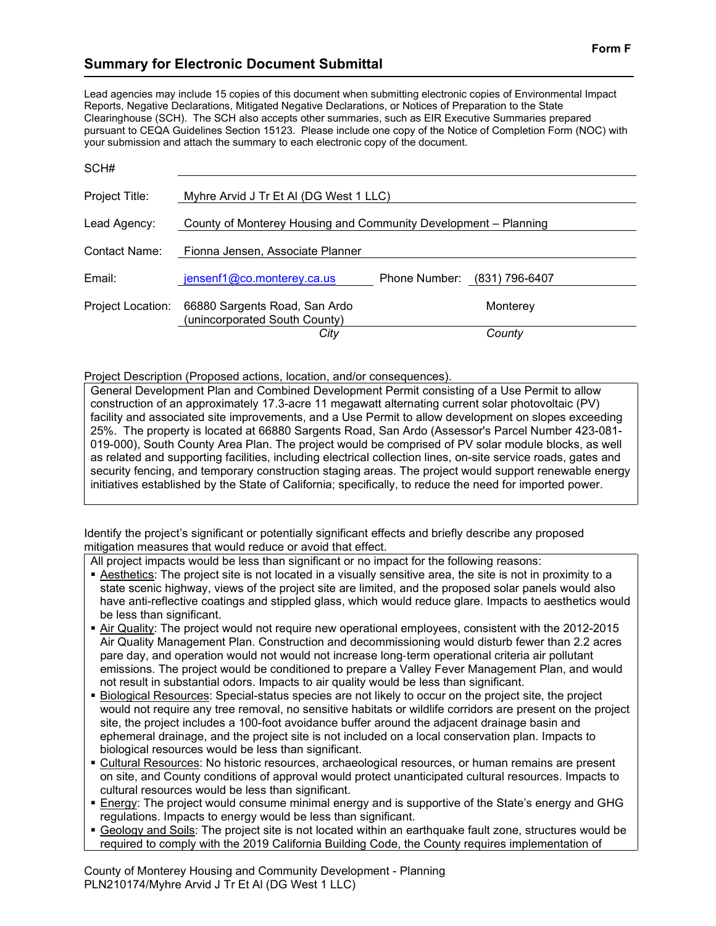## **Summary for Electronic Document Submittal**

Lead agencies may include 15 copies of this document when submitting electronic copies of Environmental Impact Reports, Negative Declarations, Mitigated Negative Declarations, or Notices of Preparation to the State Clearinghouse (SCH). The SCH also accepts other summaries, such as EIR Executive Summaries prepared pursuant to CEQA Guidelines Section 15123. Please include one copy of the Notice of Completion Form (NOC) with your submission and attach the summary to each electronic copy of the document.

| SCH#              |                                                                 |               |                |
|-------------------|-----------------------------------------------------------------|---------------|----------------|
| Project Title:    | Myhre Arvid J Tr Et AI (DG West 1 LLC)                          |               |                |
| Lead Agency:      | County of Monterey Housing and Community Development – Planning |               |                |
| Contact Name:     | Fionna Jensen, Associate Planner                                |               |                |
| Email:            | jensenf1@co.monterey.ca.us                                      | Phone Number: | (831) 796-6407 |
| Project Location: | 66880 Sargents Road, San Ardo<br>(unincorporated South County)  |               | Monterey       |
|                   | City                                                            |               | County         |

Project Description (Proposed actions, location, and/or consequences).

General Development Plan and Combined Development Permit consisting of a Use Permit to allow construction of an approximately 17.3-acre 11 megawatt alternating current solar photovoltaic (PV) facility and associated site improvements, and a Use Permit to allow development on slopes exceeding 25%. The property is located at 66880 Sargents Road, San Ardo (Assessor's Parcel Number 423-081- 019-000), South County Area Plan. The project would be comprised of PV solar module blocks, as well as related and supporting facilities, including electrical collection lines, on-site service roads, gates and security fencing, and temporary construction staging areas. The project would support renewable energy initiatives established by the State of California; specifically, to reduce the need for imported power.

Identify the project's significant or potentially significant effects and briefly describe any proposed mitigation measures that would reduce or avoid that effect.

All project impacts would be less than significant or no impact for the following reasons:

- Aesthetics: The project site is not located in a visually sensitive area, the site is not in proximity to a state scenic highway, views of the project site are limited, and the proposed solar panels would also have anti-reflective coatings and stippled glass, which would reduce glare. Impacts to aesthetics would be less than significant.
- Air Quality: The project would not require new operational employees, consistent with the 2012-2015 Air Quality Management Plan. Construction and decommissioning would disturb fewer than 2.2 acres pare day, and operation would not would not increase long-term operational criteria air pollutant emissions. The project would be conditioned to prepare a Valley Fever Management Plan, and would not result in substantial odors. Impacts to air quality would be less than significant.
- Biological Resources: Special-status species are not likely to occur on the project site, the project would not require any tree removal, no sensitive habitats or wildlife corridors are present on the project site, the project includes a 100-foot avoidance buffer around the adjacent drainage basin and ephemeral drainage, and the project site is not included on a local conservation plan. Impacts to biological resources would be less than significant.
- Cultural Resources: No historic resources, archaeological resources, or human remains are present on site, and County conditions of approval would protect unanticipated cultural resources. Impacts to cultural resources would be less than significant.
- **Energy:** The project would consume minimal energy and is supportive of the State's energy and GHG regulations. Impacts to energy would be less than significant.
- Geology and Soils: The project site is not located within an earthquake fault zone, structures would be required to comply with the 2019 California Building Code, the County requires implementation of

County of Monterey Housing and Community Development - Planning PLN210174/Myhre Arvid J Tr Et Al (DG West 1 LLC)